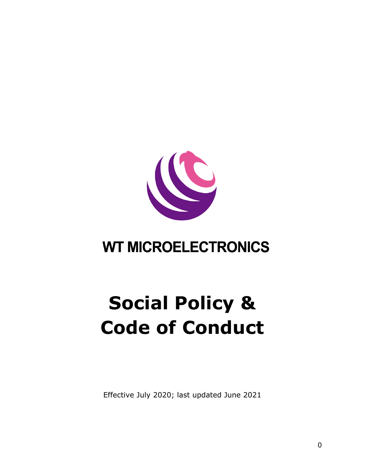

# **WT MICROELECTRONICS**

# **Social Policy & Code of Conduct**

Effective July 2020; last updated June 2021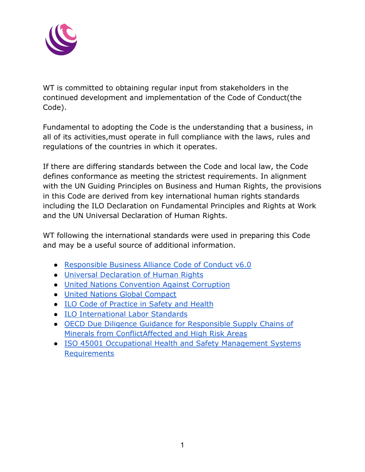

WT is committed to obtaining regular input from stakeholders in the continued development and implementation of the Code of Conduct(the Code).

Fundamental to adopting the Code is the understanding that a business, in all of its activities,must operate in full compliance with the laws, rules and regulations of the countries in which it operates.

If there are differing standards between the Code and local law, the Code defines conformance as meeting the strictest requirements. In alignment with the UN Guiding Principles on Business and Human Rights, the provisions in this Code are derived from key international human rights standards including the ILO Declaration on Fundamental Principles and Rights at Work and the UN Universal Declaration of Human Rights.

WT following the international standards were used in preparing this Code and may be a useful source of additional information.

- [Responsible Business Alliance Code of Conduct v6.0](http://www.responsiblebusiness.org/rba-foundation/)
- [Universal Declaration of Human Rights](http://www.un.org/Overview/rights.html)
- [United Nations Convention Against Corruption](https://www.unodc.org/unodc/en/treaties/CAC/)
- [United Nations Global Compact](http://www.unglobalcompact.org)
- [ILO Code of Practice in Safety and Health](http://www.ilo.org/public/english/protection/safework/cops/english/download/e000013.pdf)
- [ILO International Labor Standards](http://www.ilo.org/public/english/standards/norm/whatare/fundam/index.htm)
- [OECD Due Diligence Guidance for Responsible Supply](http://www.oecd.org/corporate/mne/mining.htm) Chains of [Minerals from ConflictAffected and High Risk Areas](http://www.oecd.org/corporate/mne/mining.htm)
- [ISO 45001 Occupational Health and Safety Management](https://www.iso.org/standard/63787.html) Systems **[Requirements](https://www.iso.org/standard/63787.html)**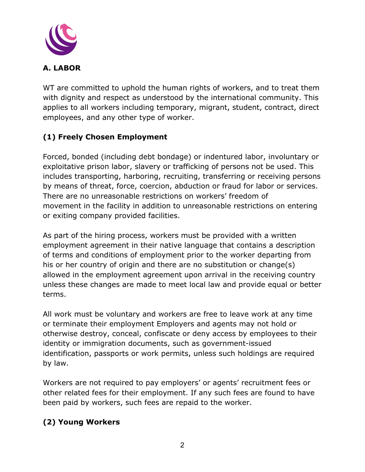

WT are committed to uphold the human rights of workers, and to treat them with dignity and respect as understood by the international community. This applies to all workers including temporary, migrant, student, contract, direct employees, and any other type of worker.

# **(1) Freely Chosen Employment**

Forced, bonded (including debt bondage) or indentured labor, involuntary or exploitative prison labor, slavery or trafficking of persons not be used. This includes transporting, harboring, recruiting, transferring or receiving persons by means of threat, force, coercion, abduction or fraud for labor or services. There are no unreasonable restrictions on workers' freedom of movement in the facility in addition to unreasonable restrictions on entering or exiting company provided facilities.

As part of the hiring process, workers must be provided with a written employment agreement in their native language that contains a description of terms and conditions of employment prior to the worker departing from his or her country of origin and there are no substitution or change(s) allowed in the employment agreement upon arrival in the receiving country unless these changes are made to meet local law and provide equal or better terms.

All work must be voluntary and workers are free to leave work at any time or terminate their employment Employers and agents may not hold or otherwise destroy, conceal, confiscate or deny access by employees to their identity or immigration documents, such as government-issued identification, passports or work permits, unless such holdings are required by law.

Workers are not required to pay employers' or agents' recruitment fees or other related fees for their employment. If any such fees are found to have been paid by workers, such fees are repaid to the worker.

## **(2) Young Workers**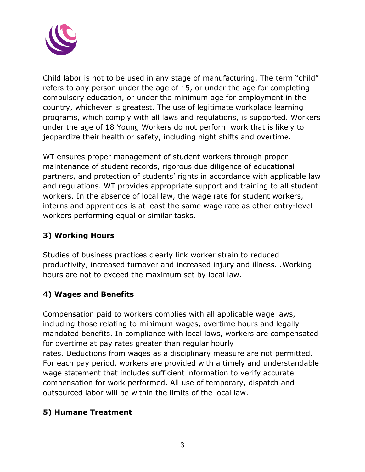

Child labor is not to be used in any stage of manufacturing. The term "child" refers to any person under the age of 15, or under the age for completing compulsory education, or under the minimum age for employment in the country, whichever is greatest. The use of legitimate workplace learning programs, which comply with all laws and regulations, is supported. Workers under the age of 18 Young Workers do not perform work that is likely to jeopardize their health or safety, including night shifts and overtime.

WT ensures proper management of student workers through proper maintenance of student records, rigorous due diligence of educational partners, and protection of students' rights in accordance with applicable law and regulations. WT provides appropriate support and training to all student workers. In the absence of local law, the wage rate for student workers, interns and apprentices is at least the same wage rate as other entry-level workers performing equal or similar tasks.

#### **3) Working Hours**

Studies of business practices clearly link worker strain to reduced productivity, increased turnover and increased injury and illness. .Working hours are not to exceed the maximum set by local law.

## **4) Wages and Benefits**

Compensation paid to workers complies with all applicable wage laws, including those relating to minimum wages, overtime hours and legally mandated benefits. In compliance with local laws, workers are compensated for overtime at pay rates greater than regular hourly rates. Deductions from wages as a disciplinary measure are not permitted. For each pay period, workers are provided with a timely and understandable wage statement that includes sufficient information to verify accurate compensation for work performed. All use of temporary, dispatch and outsourced labor will be within the limits of the local law.

#### **5) Humane Treatment**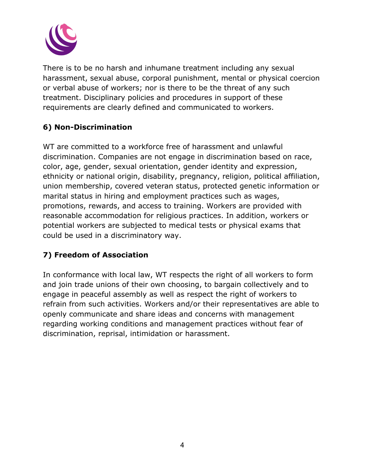

There is to be no harsh and inhumane treatment including any sexual harassment, sexual abuse, corporal punishment, mental or physical coercion or verbal abuse of workers; nor is there to be the threat of any such treatment. Disciplinary policies and procedures in support of these requirements are clearly defined and communicated to workers.

#### **6) Non-Discrimination**

WT are committed to a workforce free of harassment and unlawful discrimination. Companies are not engage in discrimination based on race, color, age, gender, sexual orientation, gender identity and expression, ethnicity or national origin, disability, pregnancy, religion, political affiliation, union membership, covered veteran status, protected genetic information or marital status in hiring and employment practices such as wages, promotions, rewards, and access to training. Workers are provided with reasonable accommodation for religious practices. In addition, workers or potential workers are subjected to medical tests or physical exams that could be used in a discriminatory way.

## **7) Freedom of Association**

In conformance with local law, WT respects the right of all workers to form and join trade unions of their own choosing, to bargain collectively and to engage in peaceful assembly as well as respect the right of workers to refrain from such activities. Workers and/or their representatives are able to openly communicate and share ideas and concerns with management regarding working conditions and management practices without fear of discrimination, reprisal, intimidation or harassment.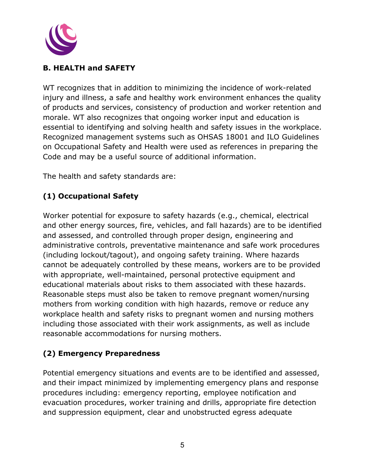

#### **B. HEALTH and SAFETY**

WT recognizes that in addition to minimizing the incidence of work-related injury and illness, a safe and healthy work environment enhances the quality of products and services, consistency of production and worker retention and morale. WT also recognizes that ongoing worker input and education is essential to identifying and solving health and safety issues in the workplace. Recognized management systems such as OHSAS 18001 and ILO Guidelines on Occupational Safety and Health were used as references in preparing the Code and may be a useful source of additional information.

The health and safety standards are:

# **(1) Occupational Safety**

Worker potential for exposure to safety hazards (e.g., chemical, electrical and other energy sources, fire, vehicles, and fall hazards) are to be identified and assessed, and controlled through proper design, engineering and administrative controls, preventative maintenance and safe work procedures (including lockout/tagout), and ongoing safety training. Where hazards cannot be adequately controlled by these means, workers are to be provided with appropriate, well-maintained, personal protective equipment and educational materials about risks to them associated with these hazards. Reasonable steps must also be taken to remove pregnant women/nursing mothers from working condition with high hazards, remove or reduce any workplace health and safety risks to pregnant women and nursing mothers including those associated with their work assignments, as well as include reasonable accommodations for nursing mothers.

## **(2) Emergency Preparedness**

Potential emergency situations and events are to be identified and assessed, and their impact minimized by implementing emergency plans and response procedures including: emergency reporting, employee notification and evacuation procedures, worker training and drills, appropriate fire detection and suppression equipment, clear and unobstructed egress adequate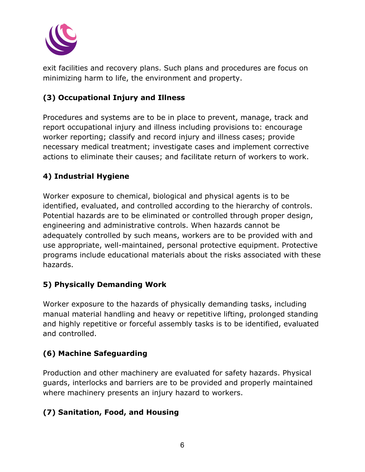

exit facilities and recovery plans. Such plans and procedures are focus on minimizing harm to life, the environment and property.

# **(3) Occupational Injury and Illness**

Procedures and systems are to be in place to prevent, manage, track and report occupational injury and illness including provisions to: encourage worker reporting; classify and record injury and illness cases; provide necessary medical treatment; investigate cases and implement corrective actions to eliminate their causes; and facilitate return of workers to work.

# **4) Industrial Hygiene**

Worker exposure to chemical, biological and physical agents is to be identified, evaluated, and controlled according to the hierarchy of controls. Potential hazards are to be eliminated or controlled through proper design, engineering and administrative controls. When hazards cannot be adequately controlled by such means, workers are to be provided with and use appropriate, well-maintained, personal protective equipment. Protective programs include educational materials about the risks associated with these hazards.

#### **5) Physically Demanding Work**

Worker exposure to the hazards of physically demanding tasks, including manual material handling and heavy or repetitive lifting, prolonged standing and highly repetitive or forceful assembly tasks is to be identified, evaluated and controlled.

## **(6) Machine Safeguarding**

Production and other machinery are evaluated for safety hazards. Physical guards, interlocks and barriers are to be provided and properly maintained where machinery presents an injury hazard to workers.

## **(7) Sanitation, Food, and Housing**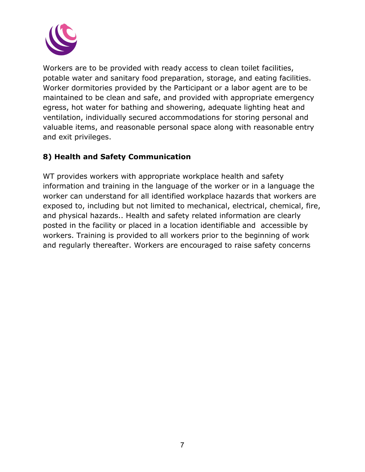

Workers are to be provided with ready access to clean toilet facilities, potable water and sanitary food preparation, storage, and eating facilities. Worker dormitories provided by the Participant or a labor agent are to be maintained to be clean and safe, and provided with appropriate emergency egress, hot water for bathing and showering, adequate lighting heat and ventilation, individually secured accommodations for storing personal and valuable items, and reasonable personal space along with reasonable entry and exit privileges.

#### **8) Health and Safety Communication**

WT provides workers with appropriate workplace health and safety information and training in the language of the worker or in a language the worker can understand for all identified workplace hazards that workers are exposed to, including but not limited to mechanical, electrical, chemical, fire, and physical hazards.. Health and safety related information are clearly posted in the facility or placed in a location identifiable and accessible by workers. Training is provided to all workers prior to the beginning of work and regularly thereafter. Workers are encouraged to raise safety concerns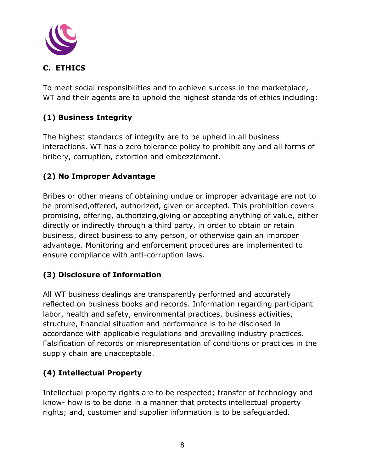

To meet social responsibilities and to achieve success in the marketplace, WT and their agents are to uphold the highest standards of ethics including:

# **(1) Business Integrity**

The highest standards of integrity are to be upheld in all business interactions. WT has a zero tolerance policy to prohibit any and all forms of bribery, corruption, extortion and embezzlement.

# **(2) No Improper Advantage**

Bribes or other means of obtaining undue or improper advantage are not to be promised,offered, authorized, given or accepted. This prohibition covers promising, offering, authorizing,giving or accepting anything of value, either directly or indirectly through a third party, in order to obtain or retain business, direct business to any person, or otherwise gain an improper advantage. Monitoring and enforcement procedures are implemented to ensure compliance with anti-corruption laws.

# **(3) Disclosure of Information**

All WT business dealings are transparently performed and accurately reflected on business books and records. Information regarding participant labor, health and safety, environmental practices, business activities, structure, financial situation and performance is to be disclosed in accordance with applicable regulations and prevailing industry practices. Falsification of records or misrepresentation of conditions or practices in the supply chain are unacceptable.

## **(4) Intellectual Property**

Intellectual property rights are to be respected; transfer of technology and know- how is to be done in a manner that protects intellectual property rights; and, customer and supplier information is to be safeguarded.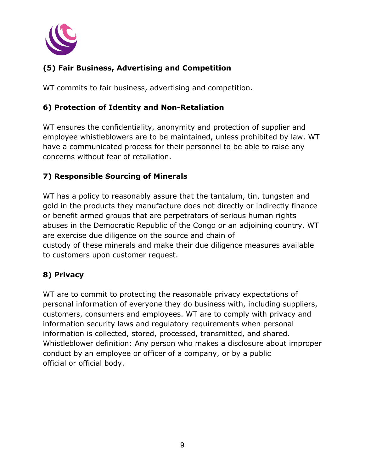

# **(5) Fair Business, Advertising and Competition**

WT commits to fair business, advertising and competition.

#### **6) Protection of Identity and Non-Retaliation**

WT ensures the confidentiality, anonymity and protection of supplier and employee whistleblowers are to be maintained, unless prohibited by law. WT have a communicated process for their personnel to be able to raise any concerns without fear of retaliation.

#### **7) Responsible Sourcing of Minerals**

WT has a policy to reasonably assure that the tantalum, tin, tungsten and gold in the products they manufacture does not directly or indirectly finance or benefit armed groups that are perpetrators of serious human rights abuses in the Democratic Republic of the Congo or an adjoining country. WT are exercise due diligence on the source and chain of custody of these minerals and make their due diligence measures available to customers upon customer request.

#### **8) Privacy**

WT are to commit to protecting the reasonable privacy expectations of personal information of everyone they do business with, including suppliers, customers, consumers and employees. WT are to comply with privacy and information security laws and regulatory requirements when personal information is collected, stored, processed, transmitted, and shared. Whistleblower definition: Any person who makes a disclosure about improper conduct by an employee or officer of a company, or by a public official or official body.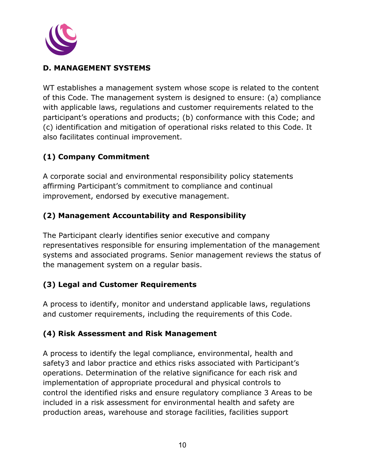

#### **D. MANAGEMENT SYSTEMS**

WT establishes a management system whose scope is related to the content of this Code. The management system is designed to ensure: (a) compliance with applicable laws, regulations and customer requirements related to the participant's operations and products; (b) conformance with this Code; and (c) identification and mitigation of operational risks related to this Code. It also facilitates continual improvement.

# **(1) Company Commitment**

A corporate social and environmental responsibility policy statements affirming Participant's commitment to compliance and continual improvement, endorsed by executive management.

## **(2) Management Accountability and Responsibility**

The Participant clearly identifies senior executive and company representatives responsible for ensuring implementation of the management systems and associated programs. Senior management reviews the status of the management system on a regular basis.

#### **(3) Legal and Customer Requirements**

A process to identify, monitor and understand applicable laws, regulations and customer requirements, including the requirements of this Code.

#### **(4) Risk Assessment and Risk Management**

A process to identify the legal compliance, environmental, health and safety3 and labor practice and ethics risks associated with Participant's operations. Determination of the relative significance for each risk and implementation of appropriate procedural and physical controls to control the identified risks and ensure regulatory compliance 3 Areas to be included in a risk assessment for environmental health and safety are production areas, warehouse and storage facilities, facilities support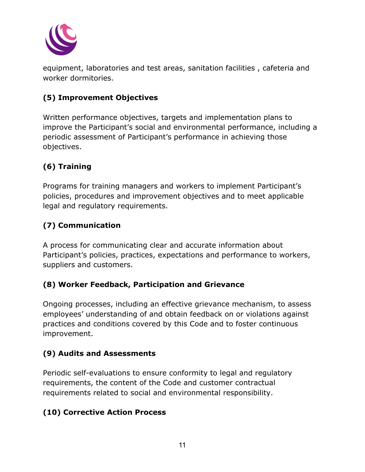

equipment, laboratories and test areas, sanitation facilities , cafeteria and worker dormitories.

# **(5) Improvement Objectives**

Written performance objectives, targets and implementation plans to improve the Participant's social and environmental performance, including a periodic assessment of Participant's performance in achieving those objectives.

# **(6) Training**

Programs for training managers and workers to implement Participant's policies, procedures and improvement objectives and to meet applicable legal and regulatory requirements.

# **(7) Communication**

A process for communicating clear and accurate information about Participant's policies, practices, expectations and performance to workers, suppliers and customers.

## **(8) Worker Feedback, Participation and Grievance**

Ongoing processes, including an effective grievance mechanism, to assess employees' understanding of and obtain feedback on or violations against practices and conditions covered by this Code and to foster continuous improvement.

#### **(9) Audits and Assessments**

Periodic self-evaluations to ensure conformity to legal and regulatory requirements, the content of the Code and customer contractual requirements related to social and environmental responsibility.

## **(10) Corrective Action Process**